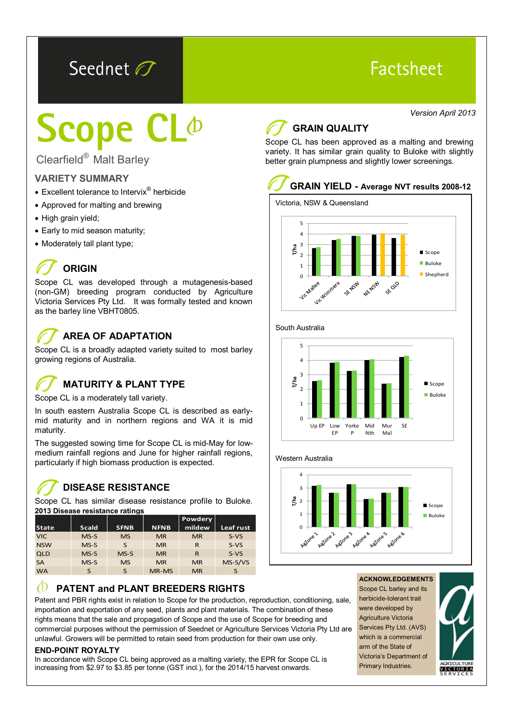## Seednet O

## Factsheet

Clearfield® Malt Barley

#### **VARIETY SUMMARY**

- Excellent tolerance to Intervix<sup>®</sup> herbicide
- Approved for malting and brewing
- High grain yield;
- Early to mid season maturity;
- Moderately tall plant type;

## **ORIGIN**

Scope CL was developed through a mutagenesis-based (non-GM) breeding program conducted by Agriculture Victoria Services Pty Ltd. It was formally tested and known as the barley line VBHT0805.

## **AREA OF ADAPTATION**

Scope CL is a broadly adapted variety suited to most barley growing regions of Australia.

## **MATURITY & PLANT TYPE**

Scope CL is a moderately tall variety.

In south eastern Australia Scope CL is described as earlymid maturity and in northern regions and WA it is mid maturity.

The suggested sowing time for Scope CL is mid-May for lowmedium rainfall regions and June for higher rainfall regions, particularly if high biomass production is expected.

#### **DISEASE RESISTANCE**

Scope CL has similar disease resistance profile to Buloke. **2013 Disease resistance ratings**

|              |              |             |             | <b>Powdery</b> |           |
|--------------|--------------|-------------|-------------|----------------|-----------|
| <b>State</b> | <b>Scald</b> | <b>SFNB</b> | <b>NFNB</b> | mildew         | Leaf rust |
| <b>VIC</b>   | $MS-S$       | <b>MS</b>   | <b>MR</b>   | <b>MR</b>      | $S-VS$    |
| <b>NSW</b>   | $MS-S$       | S           | <b>MR</b>   | R              | $S-VS$    |
| <b>QLD</b>   | $MS-S$       | $MS-S$      | <b>MR</b>   | R              | $S-VS$    |
| <b>SA</b>    | $MS-S$       | <b>MS</b>   | <b>MR</b>   | <b>MR</b>      | MS-S/VS   |
| <b>WA</b>    | S            | S           | MR-MS       | <b>MR</b>      | S         |

#### Æ **PATENT and PLANT BREEDERS RIGHTS**

Patent and PBR rights exist in relation to Scope for the production, reproduction, conditioning, sale, importation and exportation of any seed, plants and plant materials. The combination of these rights means that the sale and propagation of Scope and the use of Scope for breeding and commercial purposes without the permission of Seednet or Agriculture Services Victoria Pty Ltd are unlawful. Growers will be permitted to retain seed from production for their own use only.

#### **END-POINT ROYALTY**

In accordance with Scope CL being approved as a malting variety, the EPR for Scope CL is increasing from \$2.97 to \$3.85 per tonne (GST incl.), for the 2014/15 harvest onwards.

### Version April 2013<br>**Age of Strain QUALITY GRAIN QUALITY**

Scope CL has been approved as a malting and brewing variety. It has similar grain quality to Buloke with slightly better grain plumpness and slightly lower screenings.

## **GRAIN YIELD - Average NVT results 2008-12**







Western Australia



#### **ACKNOWLEDGEMENTS**

Scope CL barley and its herbicide-tolerant trait were developed by Agriculture Victoria Services Pty Ltd. (AVS) which is a commercial arm of the State of Victoria's Department of Primary Industries.